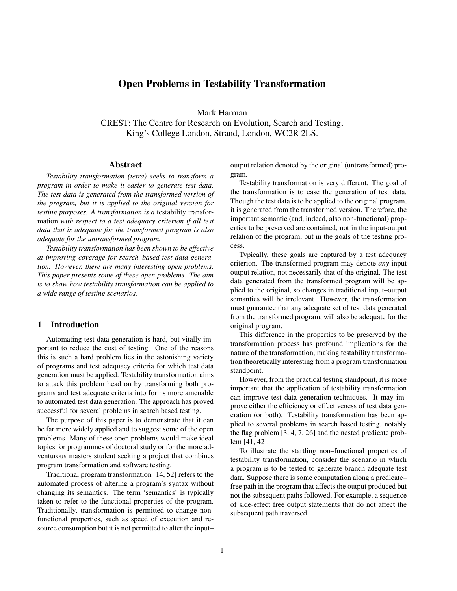# Open Problems in Testability Transformation

Mark Harman

CREST: The Centre for Research on Evolution, Search and Testing, King's College London, Strand, London, WC2R 2LS.

# Abstract

*Testability transformation (tetra) seeks to transform a program in order to make it easier to generate test data. The test data is generated from the transformed version of the program, but it is applied to the original version for testing purposes. A transformation is a* testability transformation *with respect to a test adequacy criterion if all test data that is adequate for the transformed program is also adequate for the untransformed program.*

*Testability transformation has been shown to be effective at improving coverage for search–based test data generation. However, there are many interesting open problems. This paper presents some of these open problems. The aim is to show how testability transformation can be applied to a wide range of testing scenarios.*

# 1 Introduction

Automating test data generation is hard, but vitally important to reduce the cost of testing. One of the reasons this is such a hard problem lies in the astonishing variety of programs and test adequacy criteria for which test data generation must be applied. Testability transformation aims to attack this problem head on by transforming both programs and test adequate criteria into forms more amenable to automated test data generation. The approach has proved successful for several problems in search based testing.

The purpose of this paper is to demonstrate that it can be far more widely applied and to suggest some of the open problems. Many of these open problems would make ideal topics for programmes of doctoral study or for the more adventurous masters student seeking a project that combines program transformation and software testing.

Traditional program transformation [14, 52] refers to the automated process of altering a program's syntax without changing its semantics. The term 'semantics' is typically taken to refer to the functional properties of the program. Traditionally, transformation is permitted to change nonfunctional properties, such as speed of execution and resource consumption but it is not permitted to alter the input–

output relation denoted by the original (untransformed) program.

Testability transformation is very different. The goal of the transformation is to ease the generation of test data. Though the test data is to be applied to the original program, it is generated from the transformed version. Therefore, the important semantic (and, indeed, also non-functional) properties to be preserved are contained, not in the input-output relation of the program, but in the goals of the testing process.

Typically, these goals are captured by a test adequacy criterion. The transformed program may denote *any* input output relation, not necessarily that of the original. The test data generated from the transformed program will be applied to the original, so changes in traditional input–output semantics will be irrelevant. However, the transformation must guarantee that any adequate set of test data generated from the transformed program, will also be adequate for the original program.

This difference in the properties to be preserved by the transformation process has profound implications for the nature of the transformation, making testability transformation theoretically interesting from a program transformation standpoint.

However, from the practical testing standpoint, it is more important that the application of testability transformation can improve test data generation techniques. It may improve either the efficiency or effectiveness of test data generation (or both). Testability transformation has been applied to several problems in search based testing, notably the flag problem [3, 4, 7, 26] and the nested predicate problem [41, 42].

To illustrate the startling non–functional properties of testability transformation, consider the scenario in which a program is to be tested to generate branch adequate test data. Suppose there is some computation along a predicate– free path in the program that affects the output produced but not the subsequent paths followed. For example, a sequence of side-effect free output statements that do not affect the subsequent path traversed.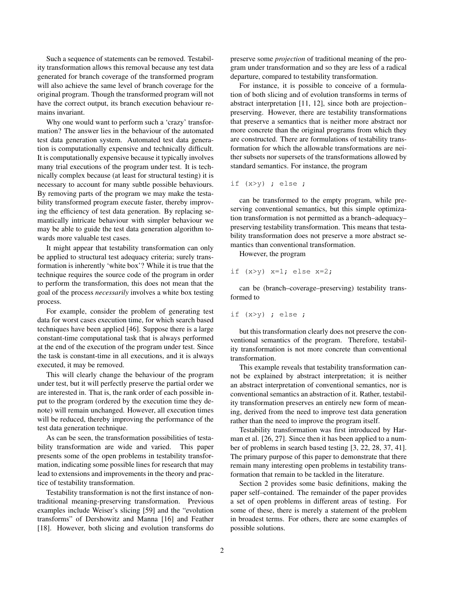Such a sequence of statements can be removed. Testability transformation allows this removal because any test data generated for branch coverage of the transformed program will also achieve the same level of branch coverage for the original program. Though the transformed program will not have the correct output, its branch execution behaviour remains invariant.

Why one would want to perform such a 'crazy' transformation? The answer lies in the behaviour of the automated test data generation system. Automated test data generation is computationally expensive and technically difficult. It is computationally expensive because it typically involves many trial executions of the program under test. It is technically complex because (at least for structural testing) it is necessary to account for many subtle possible behaviours. By removing parts of the program we may make the testability transformed program execute faster, thereby improving the efficiency of test data generation. By replacing semantically intricate behaviour with simpler behaviour we may be able to guide the test data generation algorithm towards more valuable test cases.

It might appear that testability transformation can only be applied to structural test adequacy criteria; surely transformation is inherently 'white box'? While it is true that the technique requires the source code of the program in order to perform the transformation, this does not mean that the goal of the process *necessarily* involves a white box testing process.

For example, consider the problem of generating test data for worst cases execution time, for which search based techniques have been applied [46]. Suppose there is a large constant-time computational task that is always performed at the end of the execution of the program under test. Since the task is constant-time in all executions, and it is always executed, it may be removed.

This will clearly change the behaviour of the program under test, but it will perfectly preserve the partial order we are interested in. That is, the rank order of each possible input to the program (ordered by the execution time they denote) will remain unchanged. However, all execution times will be reduced, thereby improving the performance of the test data generation technique.

As can be seen, the transformation possibilities of testability transformation are wide and varied. This paper presents some of the open problems in testability transformation, indicating some possible lines for research that may lead to extensions and improvements in the theory and practice of testability transformation.

Testability transformation is not the first instance of nontraditional meaning-preserving transformation. Previous examples include Weiser's slicing [59] and the "evolution transforms" of Dershowitz and Manna [16] and Feather [18]. However, both slicing and evolution transforms do preserve some *projection* of traditional meaning of the program under transformation and so they are less of a radical departure, compared to testability transformation.

For instance, it is possible to conceive of a formulation of both slicing and of evolution transforms in terms of abstract interpretation [11, 12], since both are projection– preserving. However, there are testability transformations that preserve a semantics that is neither more abstract nor more concrete than the original programs from which they are constructed. There are formulations of testability transformation for which the allowable transformations are neither subsets nor supersets of the transformations allowed by standard semantics. For instance, the program

# if (x>y) ; else ;

can be transformed to the empty program, while preserving conventional semantics, but this simple optimization transformation is not permitted as a branch–adequacy– preserving testability transformation. This means that testability transformation does not preserve a more abstract semantics than conventional transformation.

However, the program

### if  $(x>y)$   $x=1$ ; else  $x=2$ ;

can be (branch–coverage–preserving) testability transformed to

### if (x>y) ; else ;

but this transformation clearly does not preserve the conventional semantics of the program. Therefore, testability transformation is not more concrete than conventional transformation.

This example reveals that testability transformation cannot be explained by abstract interpretation; it is neither an abstract interpretation of conventional semantics, nor is conventional semantics an abstraction of it. Rather, testability transformation preserves an entirely new form of meaning, derived from the need to improve test data generation rather than the need to improve the program itself.

Testability transformation was first introduced by Harman et al. [26, 27]. Since then it has been applied to a number of problems in search based testing [3, 22, 28, 37, 41]. The primary purpose of this paper to demonstrate that there remain many interesting open problems in testability transformation that remain to be tackled in the literature.

Section 2 provides some basic definitions, making the paper self–contained. The remainder of the paper provides a set of open problems in different areas of testing. For some of these, there is merely a statement of the problem in broadest terms. For others, there are some examples of possible solutions.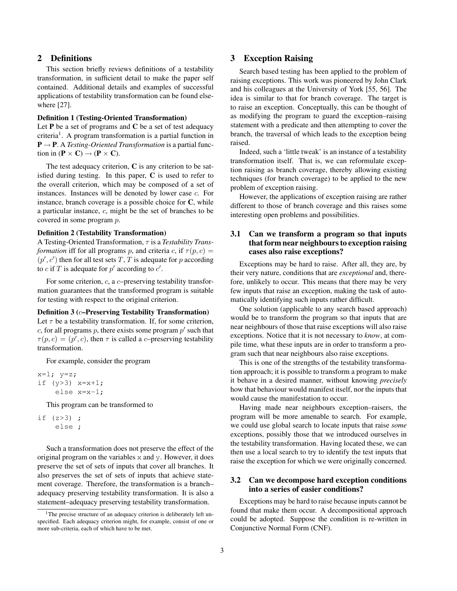# 2 Definitions

This section briefly reviews definitions of a testability transformation, in sufficient detail to make the paper self contained. Additional details and examples of successful applications of testability transformation can be found elsewhere [27].

### Definition 1 (Testing-Oriented Transformation)

Let  $P$  be a set of programs and  $C$  be a set of test adequacy criteria<sup>1</sup>. A program transformation is a partial function in  $P \rightarrow P$ . A *Testing-Oriented Transformation* is a partial function in  $(\mathbf{P} \times \mathbf{C}) \rightarrow (\mathbf{P} \times \mathbf{C})$ .

The test adequacy criterion,  $C$  is any criterion to be satisfied during testing. In this paper, C is used to refer to the overall criterion, which may be composed of a set of instances. Instances will be denoted by lower case c. For instance, branch coverage is a possible choice for  $C$ , while a particular instance, c, might be the set of branches to be covered in some program p.

### Definition 2 (Testability Transformation)

A Testing-Oriented Transformation, τ is a *Testability Transformation* iff for all programs p, and criteria c, if  $\tau(p, c)$  =  $(p', c')$  then for all test sets T, T is adequate for p according to c if T is adequate for  $p'$  according to  $c'$ .

For some criterion, c, a c–preserving testability transformation guarantees that the transformed program is suitable for testing with respect to the original criterion.

### Definition 3 (c–Preserving Testability Transformation)

Let  $\tau$  be a testability transformation. If, for some criterion, c, for all programs  $p$ , there exists some program  $p'$  such that  $\tau(p, c) = (p', c)$ , then  $\tau$  is called a *c*-preserving testability transformation.

For example, consider the program

```
x=1; y=z;if (y>3) x=x+1;else x=x-1;
```
This program can be transformed to

```
if (z>3) ;
    else ;
```
Such a transformation does not preserve the effect of the original program on the variables  $x$  and  $y$ . However, it does preserve the set of sets of inputs that cover all branches. It also preserves the set of sets of inputs that achieve statement coverage. Therefore, the transformation is a branch– adequacy preserving testability transformation. It is also a statement–adequacy preserving testability transformation.

# 3 Exception Raising

Search based testing has been applied to the problem of raising exceptions. This work was pioneered by John Clark and his colleagues at the University of York [55, 56]. The idea is similar to that for branch coverage. The target is to raise an exception. Conceptually, this can be thought of as modifying the program to guard the exception–raising statement with a predicate and then attempting to cover the branch, the traversal of which leads to the exception being raised.

Indeed, such a 'little tweak' is an instance of a testability transformation itself. That is, we can reformulate exception raising as branch coverage, thereby allowing existing techniques (for branch coverage) to be applied to the new problem of exception raising.

However, the applications of exception raising are rather different to those of branch coverage and this raises some interesting open problems and possibilities.

# 3.1 Can we transform a program so that inputs that form near neighbours to exception raising cases also raise exceptions?

Exceptions may be hard to raise. After all, they are, by their very nature, conditions that are *exceptional* and, therefore, unlikely to occur. This means that there may be very few inputs that raise an exception, making the task of automatically identifying such inputs rather difficult.

One solution (applicable to any search based approach) would be to transform the program so that inputs that are near neighbours of those that raise exceptions will also raise exceptions. Notice that it is not necessary to *know*, at compile time, what these inputs are in order to transform a program such that near neighbours also raise exceptions.

This is one of the strengths of the testability transformation approach; it is possible to transform a program to make it behave in a desired manner, without knowing *precisely* how that behaviour would manifest itself, nor the inputs that would cause the manifestation to occur.

Having made near neighbours exception–raisers, the program will be more amenable to search. For example, we could use global search to locate inputs that raise *some* exceptions, possibly those that we introduced ourselves in the testability transformation. Having located these, we can then use a local search to try to identify the test inputs that raise the exception for which we were originally concerned.

# 3.2 Can we decompose hard exception conditions into a series of easier conditions?

Exceptions may be hard to raise because inputs cannot be found that make them occur. A decompositional approach could be adopted. Suppose the condition is re-written in Conjunctive Normal Form (CNF).

<sup>&</sup>lt;sup>1</sup>The precise structure of an adequacy criterion is deliberately left unspecified. Each adequacy criterion might, for example, consist of one or more sub-criteria, each of which have to be met.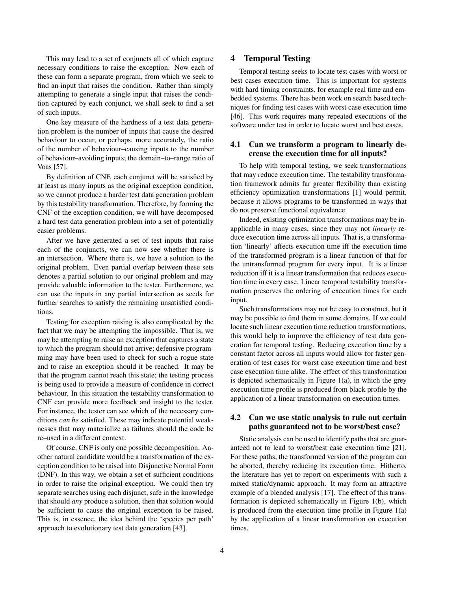This may lead to a set of conjuncts all of which capture necessary conditions to raise the exception. Now each of these can form a separate program, from which we seek to find an input that raises the condition. Rather than simply attempting to generate a single input that raises the condition captured by each conjunct, we shall seek to find a set of such inputs.

One key measure of the hardness of a test data generation problem is the number of inputs that cause the desired behaviour to occur, or perhaps, more accurately, the ratio of the number of behaviour–causing inputs to the number of behaviour–avoiding inputs; the domain–to–range ratio of Voas [57].

By definition of CNF, each conjunct will be satisfied by at least as many inputs as the original exception condition, so we cannot produce a harder test data generation problem by this testability transformation. Therefore, by forming the CNF of the exception condition, we will have decomposed a hard test data generation problem into a set of potentially easier problems.

After we have generated a set of test inputs that raise each of the conjuncts, we can now see whether there is an intersection. Where there is, we have a solution to the original problem. Even partial overlap between these sets denotes a partial solution to our original problem and may provide valuable information to the tester. Furthermore, we can use the inputs in any partial intersection as seeds for further searches to satisfy the remaining unsatisfied conditions.

Testing for exception raising is also complicated by the fact that we may be attempting the impossible. That is, we may be attempting to raise an exception that captures a state to which the program should not arrive; defensive programming may have been used to check for such a rogue state and to raise an exception should it be reached. It may be that the program cannot reach this state; the testing process is being used to provide a measure of confidence in correct behaviour. In this situation the testability transformation to CNF can provide more feedback and insight to the tester. For instance, the tester can see which of the necessary conditions *can be* satisfied. These may indicate potential weaknesses that may materialize as failures should the code be re–used in a different context.

Of course, CNF is only one possible decomposition. Another natural candidate would be a transformation of the exception condition to be raised into Disjunctive Normal Form (DNF). In this way, we obtain a set of sufficient conditions in order to raise the original exception. We could then try separate searches using each disjunct, safe in the knowledge that should *any* produce a solution, then that solution would be sufficient to cause the original exception to be raised. This is, in essence, the idea behind the 'species per path' approach to evolutionary test data generation [43].

# 4 Temporal Testing

Temporal testing seeks to locate test cases with worst or best cases execution time. This is important for systems with hard timing constraints, for example real time and embedded systems. There has been work on search based techniques for finding test cases with worst case execution time [46]. This work requires many repeated executions of the software under test in order to locate worst and best cases.

# 4.1 Can we transform a program to linearly decrease the execution time for all inputs?

To help with temporal testing, we seek transformations that may reduce execution time. The testability transformation framework admits far greater flexibility than existing efficiency optimization transformations [1] would permit, because it allows programs to be transformed in ways that do not preserve functional equivalence.

Indeed, existing optimization transformations may be inapplicable in many cases, since they may not *linearly* reduce execution time across all inputs. That is, a transformation 'linearly' affects execution time iff the execution time of the transformed program is a linear function of that for the untransformed program for every input. It is a linear reduction iff it is a linear transformation that reduces execution time in every case. Linear temporal testability transformation preserves the ordering of execution times for each input.

Such transformations may not be easy to construct, but it may be possible to find them in some domains. If we could locate such linear execution time reduction transformations, this would help to improve the efficiency of test data generation for temporal testing. Reducing execution time by a constant factor across all inputs would allow for faster generation of test cases for worst case execution time and best case execution time alike. The effect of this transformation is depicted schematically in Figure  $1(a)$ , in which the grey execution time profile is produced from black profile by the application of a linear transformation on execution times.

# 4.2 Can we use static analysis to rule out certain paths guaranteed not to be worst/best case?

Static analysis can be used to identify paths that are guaranteed not to lead to worst/best case execution time [21]. For these paths, the transformed version of the program can be aborted, thereby reducing its execution time. Hitherto, the literature has yet to report on experiments with such a mixed static/dynamic approach. It may form an attractive example of a blended analysis [17]. The effect of this transformation is depicted schematically in Figure 1(b), which is produced from the execution time profile in Figure 1(a) by the application of a linear transformation on execution times.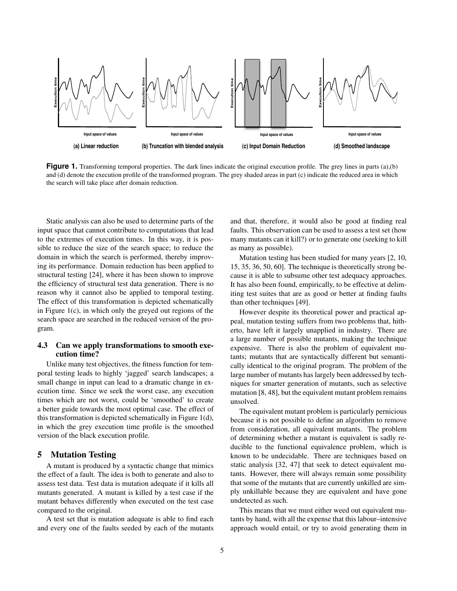

**Figure 1.** Transforming temporal properties. The dark lines indicate the original execution profile. The grey lines in parts (a),(b) and (d) denote the execution profile of the transformed program. The grey shaded areas in part (c) indicate the reduced area in which the search will take place after domain reduction.

Static analysis can also be used to determine parts of the input space that cannot contribute to computations that lead to the extremes of execution times. In this way, it is possible to reduce the size of the search space; to reduce the domain in which the search is performed, thereby improving its performance. Domain reduction has been applied to structural testing [24], where it has been shown to improve the efficiency of structural test data generation. There is no reason why it cannot also be applied to temporal testing. The effect of this transformation is depicted schematically in Figure 1(c), in which only the greyed out regions of the search space are searched in the reduced version of the program.

# 4.3 Can we apply transformations to smooth execution time?

Unlike many test objectives, the fitness function for temporal testing leads to highly 'jagged' search landscapes; a small change in input can lead to a dramatic change in execution time. Since we seek the worst case, any execution times which are not worst, could be 'smoothed' to create a better guide towards the most optimal case. The effect of this transformation is depicted schematically in Figure 1(d), in which the grey execution time profile is the smoothed version of the black execution profile.

# 5 Mutation Testing

A mutant is produced by a syntactic change that mimics the effect of a fault. The idea is both to generate and also to assess test data. Test data is mutation adequate if it kills all mutants generated. A mutant is killed by a test case if the mutant behaves differently when executed on the test case compared to the original.

A test set that is mutation adequate is able to find each and every one of the faults seeded by each of the mutants

and that, therefore, it would also be good at finding real faults. This observation can be used to assess a test set (how many mutants can it kill?) or to generate one (seeking to kill as many as possible).

Mutation testing has been studied for many years [2, 10, 15, 35, 36, 50, 60]. The technique is theoretically strong because it is able to subsume other test adequacy approaches. It has also been found, empirically, to be effective at delimiting test suites that are as good or better at finding faults than other techniques [49].

However despite its theoretical power and practical appeal, mutation testing suffers from two problems that, hitherto, have left it largely unapplied in industry. There are a large number of possible mutants, making the technique expensive. There is also the problem of equivalent mutants; mutants that are syntactically different but semantically identical to the original program. The problem of the large number of mutants has largely been addressed by techniques for smarter generation of mutants, such as selective mutation [8, 48], but the equivalent mutant problem remains unsolved.

The equivalent mutant problem is particularly pernicious because it is not possible to define an algorithm to remove from consideration, all equivalent mutants. The problem of determining whether a mutant is equivalent is sadly reducible to the functional equivalence problem, which is known to be undecidable. There are techniques based on static analysis [32, 47] that seek to detect equivalent mutants. However, there will always remain some possibility that some of the mutants that are currently unkilled are simply unkillable because they are equivalent and have gone undetected as such.

This means that we must either weed out equivalent mutants by hand, with all the expense that this labour–intensive approach would entail, or try to avoid generating them in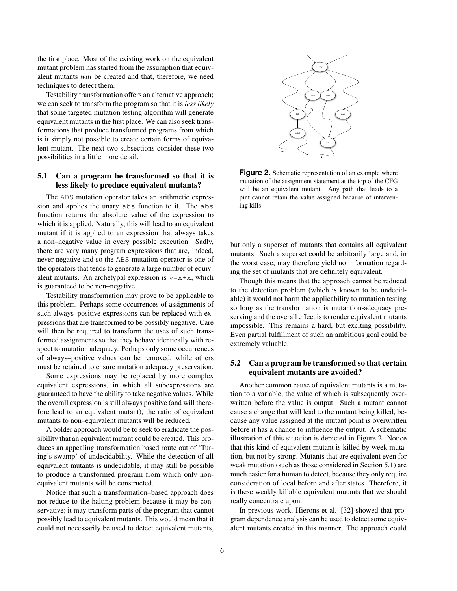the first place. Most of the existing work on the equivalent mutant problem has started from the assumption that equivalent mutants *will* be created and that, therefore, we need techniques to detect them.

Testability transformation offers an alternative approach; we can seek to transform the program so that it is *less likely* that some targeted mutation testing algorithm will generate equivalent mutants in the first place. We can also seek transformations that produce transformed programs from which is it simply not possible to create certain forms of equivalent mutant. The next two subsections consider these two possibilities in a little more detail.

# 5.1 Can a program be transformed so that it is less likely to produce equivalent mutants?

The ABS mutation operator takes an arithmetic expression and applies the unary abs function to it. The abs function returns the absolute value of the expression to which it is applied. Naturally, this will lead to an equivalent mutant if it is applied to an expression that always takes a non–negative value in every possible execution. Sadly, there are very many program expressions that are, indeed, never negative and so the ABS mutation operator is one of the operators that tends to generate a large number of equivalent mutants. An archetypal expression is  $y=x*x$ , which is guaranteed to be non–negative.

Testability transformation may prove to be applicable to this problem. Perhaps some occurrences of assignments of such always–positive expressions can be replaced with expressions that are transformed to be possibly negative. Care will then be required to transform the uses of such transformed assignments so that they behave identically with respect to mutation adequacy. Perhaps only some occurrences of always–positive values can be removed, while others must be retained to ensure mutation adequacy preservation.

Some expressions may be replaced by more complex equivalent expressions, in which all subexpressions are guaranteed to have the ability to take negative values. While the overall expression is still always positive (and will therefore lead to an equivalent mutant), the ratio of equivalent mutants to non–equivalent mutants will be reduced.

A bolder approach would be to seek to eradicate the possibility that an equivalent mutant could be created. This produces an appealing transformation based route out of 'Turing's swamp' of undecidability. While the detection of all equivalent mutants is undecidable, it may still be possible to produce a transformed program from which only nonequivalent mutants will be constructed.

Notice that such a transformation–based approach does not reduce to the halting problem because it may be conservative; it may transform parts of the program that cannot possibly lead to equivalent mutants. This would mean that it could not necessarily be used to detect equivalent mutants,



**Figure 2.** Schematic representation of an example where mutation of the assignment statement at the top of the CFG will be an equivalent mutant. Any path that leads to a pint cannot retain the value assigned because of intervening kills.

but only a superset of mutants that contains all equivalent mutants. Such a superset could be arbitrarily large and, in the worst case, may therefore yield no information regarding the set of mutants that are definitely equivalent.

Though this means that the approach cannot be reduced to the detection problem (which is known to be undecidable) it would not harm the applicability to mutation testing so long as the transformation is mutantion-adequacy preserving and the overall effect is to render equivalent mutants impossible. This remains a hard, but exciting possibility. Even partial fulfillment of such an ambitious goal could be extremely valuable.

# 5.2 Can a program be transformed so that certain equivalent mutants are avoided?

Another common cause of equivalent mutants is a mutation to a variable, the value of which is subsequently overwritten before the value is output. Such a mutant cannot cause a change that will lead to the mutant being killed, because any value assigned at the mutant point is overwritten before it has a chance to influence the output. A schematic illustration of this situation is depicted in Figure 2. Notice that this kind of equivalent mutant is killed by week mutation, but not by strong. Mutants that are equivalent even for weak mutation (such as those considered in Section 5.1) are much easier for a human to detect, because they only require consideration of local before and after states. Therefore, it is these weakly killable equivalent mutants that we should really concentrate upon.

In previous work, Hierons et al. [32] showed that program dependence analysis can be used to detect some equivalent mutants created in this manner. The approach could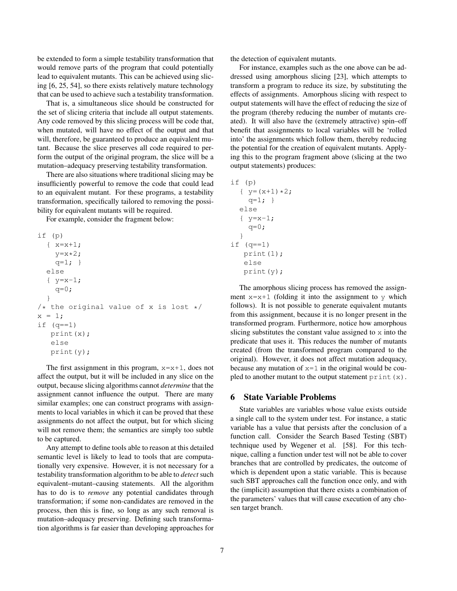be extended to form a simple testability transformation that would remove parts of the program that could potentially lead to equivalent mutants. This can be achieved using slicing [6, 25, 54], so there exists relatively mature technology that can be used to achieve such a testability transformation.

That is, a simultaneous slice should be constructed for the set of slicing criteria that include all output statements. Any code removed by this slicing process will be code that, when mutated, will have no effect of the output and that will, therefore, be guaranteed to produce an equivalent mutant. Because the slice preserves all code required to perform the output of the original program, the slice will be a mutation–adequacy preserving testability transformation.

There are also situations where traditional slicing may be insufficiently powerful to remove the code that could lead to an equivalent mutant. For these programs, a testability transformation, specifically tailored to removing the possibility for equivalent mutants will be required.

For example, consider the fragment below:

```
if (p)
  \{ x=x+1;y=x*2;q=1; }
  else
  \{ y=x-1;q=0;}
/* the original value of x is lost */x = 1;if (q==1)print(x);
   else
   print(y);
```
The first assignment in this program,  $x=x+1$ , does not affect the output, but it will be included in any slice on the output, because slicing algorithms cannot *determine* that the assignment cannot influence the output. There are many similar examples; one can construct programs with assignments to local variables in which it can be proved that these assignments do not affect the output, but for which slicing will not remove them; the semantics are simply too subtle to be captured.

Any attempt to define tools able to reason at this detailed semantic level is likely to lead to tools that are computationally very expensive. However, it is not necessary for a testability transformation algorithm to be able to *detect* such equivalent–mutant–causing statements. All the algorithm has to do is to *remove* any potential candidates through transformation; if some non-candidates are removed in the process, then this is fine, so long as any such removal is mutation–adequacy preserving. Defining such transformation algorithms is far easier than developing approaches for the detection of equivalent mutants.

For instance, examples such as the one above can be addressed using amorphous slicing [23], which attempts to transform a program to reduce its size, by substituting the effects of assignments. Amorphous slicing with respect to output statements will have the effect of reducing the size of the program (thereby reducing the number of mutants created). It will also have the (extremely attractive) spin–off benefit that assignments to local variables will be 'rolled into' the assignments which follow them, thereby reducing the potential for the creation of equivalent mutants. Applying this to the program fragment above (slicing at the two output statements) produces:

```
if (p)
  \{ y = (x+1) * 2;q=1; }
  else
  { y=x-1;q=0;}
if (q==1)print(1);
   else
   print(y);
```
The amorphous slicing process has removed the assignment  $x=x+1$  (folding it into the assignment to y which follows). It is not possible to generate equivalent mutants from this assignment, because it is no longer present in the transformed program. Furthermore, notice how amorphous slicing substitutes the constant value assigned to  $x$  into the predicate that uses it. This reduces the number of mutants created (from the transformed program compared to the original). However, it does not affect mutation adequacy, because any mutation of  $x=1$  in the original would be coupled to another mutant to the output statement  $print(x)$ .

# 6 State Variable Problems

State variables are variables whose value exists outside a single call to the system under test. For instance, a static variable has a value that persists after the conclusion of a function call. Consider the Search Based Testing (SBT) technique used by Wegener et al. [58]. For this technique, calling a function under test will not be able to cover branches that are controlled by predicates, the outcome of which is dependent upon a static variable. This is because such SBT approaches call the function once only, and with the (implicit) assumption that there exists a combination of the parameters' values that will cause execution of any chosen target branch.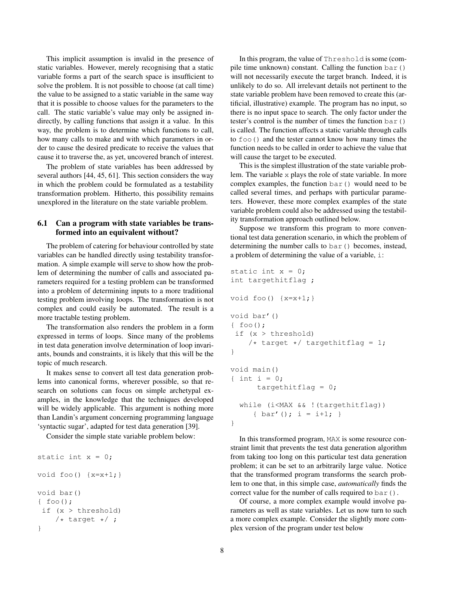This implicit assumption is invalid in the presence of static variables. However, merely recognising that a static variable forms a part of the search space is insufficient to solve the problem. It is not possible to choose (at call time) the value to be assigned to a static variable in the same way that it is possible to choose values for the parameters to the call. The static variable's value may only be assigned indirectly, by calling functions that assign it a value. In this way, the problem is to determine which functions to call, how many calls to make and with which parameters in order to cause the desired predicate to receive the values that cause it to traverse the, as yet, uncovered branch of interest.

The problem of state variables has been addressed by several authors [44, 45, 61]. This section considers the way in which the problem could be formulated as a testability transformation problem. Hitherto, this possibility remains unexplored in the literature on the state variable problem.

### 6.1 Can a program with state variables be transformed into an equivalent without?

The problem of catering for behaviour controlled by state variables can be handled directly using testability transformation. A simple example will serve to show how the problem of determining the number of calls and associated parameters required for a testing problem can be transformed into a problem of determining inputs to a more traditional testing problem involving loops. The transformation is not complex and could easily be automated. The result is a more tractable testing problem.

The transformation also renders the problem in a form expressed in terms of loops. Since many of the problems in test data generation involve determination of loop invariants, bounds and constraints, it is likely that this will be the topic of much research.

It makes sense to convert all test data generation problems into canonical forms, wherever possible, so that research on solutions can focus on simple archetypal examples, in the knowledge that the techniques developed will be widely applicable. This argument is nothing more than Landin's argument concerning programming language 'syntactic sugar', adapted for test data generation [39].

Consider the simple state variable problem below:

```
static int x = 0;
void foo() \{x=x+1; \}void bar()
{ foo();
 if (x > threshold)
    /* target */ ;
}
```
In this program, the value of Threshold is some (compile time unknown) constant. Calling the function bar() will not necessarily execute the target branch. Indeed, it is unlikely to do so. All irrelevant details not pertinent to the state variable problem have been removed to create this (artificial, illustrative) example. The program has no input, so there is no input space to search. The only factor under the tester's control is the number of times the function bar() is called. The function affects a static variable through calls to foo() and the tester cannot know how many times the function needs to be called in order to achieve the value that will cause the target to be executed.

This is the simplest illustration of the state variable problem. The variable x plays the role of state variable. In more complex examples, the function bar () would need to be called several times, and perhaps with particular parameters. However, these more complex examples of the state variable problem could also be addressed using the testability transformation approach outlined below.

Suppose we transform this program to more conventional test data generation scenario, in which the problem of determining the number calls to bar() becomes, instead, a problem of determining the value of a variable, i:

```
static int x = 0;
int targethitflag ;
void foo() \{x=x+1; \}void bar'()
{ foo();
 if (x > threshold)
    /* target */ targethitflag = 1;
}
void main()
{ int i = 0;targethitflag = 0;while (i<MAX && !(targethitflag))
     { bar' (); i = i+1; }
}
```
In this transformed program, MAX is some resource constraint limit that prevents the test data generation algorithm from taking too long on this particular test data generation problem; it can be set to an arbitrarily large value. Notice that the transformed program transforms the search problem to one that, in this simple case, *automatically* finds the correct value for the number of calls required to bar().

Of course, a more complex example would involve parameters as well as state variables. Let us now turn to such a more complex example. Consider the slightly more complex version of the program under test below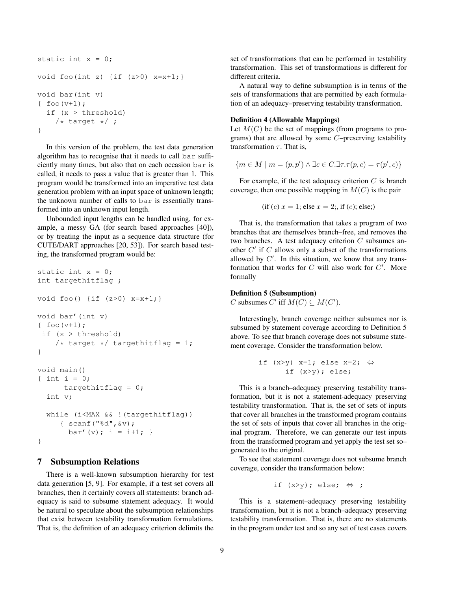```
static int x = 0;
void foo(int z) {if (z>0) x=x+1; }
void bar(int v)
{ f \circ \circ (v+1) ;
  if (x > threshold)/* target */ ;
}
```
In this version of the problem, the test data generation algorithm has to recognise that it needs to call bar sufficiently many times, but also that on each occasion bar is called, it needs to pass a value that is greater than 1. This program would be transformed into an imperative test data generation problem with an input space of unknown length; the unknown number of calls to bar is essentially transformed into an unknown input length.

Unbounded input lengths can be handled using, for example, a messy GA (for search based approaches [40]), or by treating the input as a sequence data structure (for CUTE/DART approaches [20, 53]). For search based testing, the transformed program would be:

```
static int x = 0;
int targethitflag ;
void foo() {if (z>0) x=x+1;}
void bar'(int v)
{ f \circ \circ (v+1) ;
 if (x > threshold)/* target */ targethitflag = 1;
}
void main()
{ int i = 0;targethitflag = 0;
  int v;
  while (i<MAX && !(targethitflag))
     { scanf("%d",&v);
       bar'(v); i = i+1;}
```
# 7 Subsumption Relations

There is a well-known subsumption hierarchy for test data generation [5, 9]. For example, if a test set covers all branches, then it certainly covers all statements: branch adequacy is said to subsume statement adequacy. It would be natural to speculate about the subsumption relationships that exist between testability transformation formulations. That is, the definition of an adequacy criterion delimits the set of transformations that can be performed in testability transformation. This set of transformations is different for different criteria.

A natural way to define subsumption is in terms of the sets of transformations that are permitted by each formulation of an adequacy–preserving testability transformation.

### Definition 4 (Allowable Mappings)

Let  $M(C)$  be the set of mappings (from programs to programs) that are allowed by some C–preserving testability transformation  $\tau$ . That is,

$$
\{m \in M \mid m = (p, p') \land \exists c \in C. \exists \tau. \tau(p, c) = \tau(p', c)\}
$$

For example, if the test adequacy criterion  $C$  is branch coverage, then one possible mapping in  $M(C)$  is the pair

(if (e) 
$$
x = 1
$$
; else  $x = 2$ ; if (e); else;

That is, the transformation that takes a program of two branches that are themselves branch–free, and removes the two branches. A test adequacy criterion  $C$  subsumes another  $C'$  if  $C$  allows only a subset of the transformations allowed by  $C'$ . In this situation, we know that any transformation that works for  $C$  will also work for  $C'$ . More formally

### Definition 5 (Subsumption)

C subsumes C' iff  $M(C) \subseteq M(C')$ .

Interestingly, branch coverage neither subsumes nor is subsumed by statement coverage according to Definition 5 above. To see that branch coverage does not subsume statement coverage. Consider the transformation below.

```
if (x>y) x=1; else x=2; \Leftrightarrowif (x>y); else;
```
This is a branch–adequacy preserving testability transformation, but it is not a statement-adequacy preserving testability transformation. That is, the set of sets of inputs that cover all branches in the transformed program contains the set of sets of inputs that cover all branches in the original program. Therefore, we can generate our test inputs from the transformed program and yet apply the test set so– generated to the original.

To see that statement coverage does not subsume branch coverage, consider the transformation below:

if  $(x> y)$ ; else;  $\Leftrightarrow$  ;

This is a statement–adequacy preserving testability transformation, but it is not a branch–adequacy preserving testability transformation. That is, there are no statements in the program under test and so any set of test cases covers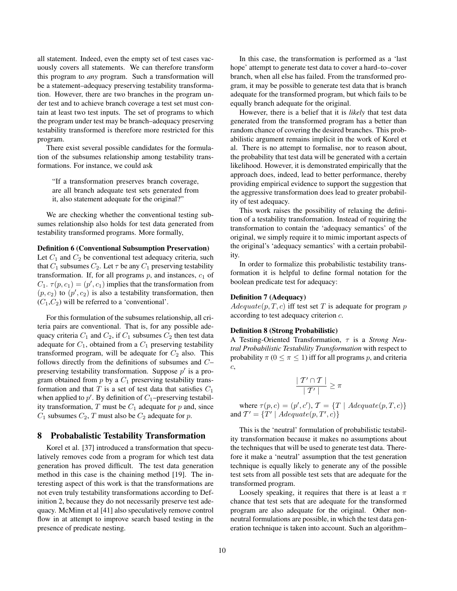all statement. Indeed, even the empty set of test cases vacuously covers all statements. We can therefore transform this program to *any* program. Such a transformation will be a statement–adequacy preserving testability transformation. However, there are two branches in the program under test and to achieve branch coverage a test set must contain at least two test inputs. The set of programs to which the program under test may be branch–adequacy preserving testability transformed is therefore more restricted for this program.

There exist several possible candidates for the formulation of the subsumes relationship among testability transformations. For instance, we could ask

"If a transformation preserves branch coverage, are all branch adequate test sets generated from it, also statement adequate for the original?"

We are checking whether the conventional testing subsumes relationship also holds for test data generated from testability transformed programs. More formally,

### Definition 6 (Conventional Subsumption Preservation)

Let  $C_1$  and  $C_2$  be conventional test adequacy criteria, such that  $C_1$  subsumes  $C_2$ . Let  $\tau$  be any  $C_1$  preserving testability transformation. If, for all programs  $p$ , and instances,  $c_1$  of  $C_1$ .  $\tau(p, c_1) = (p', c_1)$  implies that the transformation from  $(p, c_2)$  to  $(p', c_2)$  is also a testability transformation, then  $(C_1, C_2)$  will be referred to a 'conventional'.

For this formulation of the subsumes relationship, all criteria pairs are conventional. That is, for any possible adequacy criteria  $C_1$  and  $C_2$ , if  $C_1$  subsumes  $C_2$  then test data adequate for  $C_1$ , obtained from a  $C_1$  preserving testability transformed program, will be adequate for  $C_2$  also. This follows directly from the definitions of subsumes and C– preserving testability transformation. Suppose  $p'$  is a program obtained from  $p$  by a  $C_1$  preserving testability transformation and that T is a set of test data that satisfies  $C_1$ when applied to  $p'$ . By definition of  $C_1$ -preserving testability transformation,  $T$  must be  $C_1$  adequate for  $p$  and, since  $C_1$  subsumes  $C_2$ , T must also be  $C_2$  adequate for p.

# 8 Probabalistic Testability Transformation

Korel et al. [37] introduced a transformation that speculatively removes code from a program for which test data generation has proved difficult. The test data generation method in this case is the chaining method [19]. The interesting aspect of this work is that the transformations are not even truly testability transformations according to Definition 2, because they do not necessarily preserve test adequacy. McMinn et al [41] also speculatively remove control flow in at attempt to improve search based testing in the presence of predicate nesting.

In this case, the transformation is performed as a 'last hope' attempt to generate test data to cover a hard–to–cover branch, when all else has failed. From the transformed program, it may be possible to generate test data that is branch adequate for the transformed program, but which fails to be equally branch adequate for the original.

However, there is a belief that it is *likely* that test data generated from the transformed program has a better than random chance of covering the desired branches. This probabilistic argument remains implicit in the work of Korel et al. There is no attempt to formalise, nor to reason about, the probability that test data will be generated with a certain likelihood. However, it is demonstrated empirically that the approach does, indeed, lead to better performance, thereby providing empirical evidence to support the suggestion that the aggressive transformation does lead to greater probability of test adequacy.

This work raises the possibility of relaxing the definition of a testability transformation. Instead of requiring the transformation to contain the 'adequacy semantics' of the original, we simply require it to mimic important aspects of the original's 'adequacy semantics' with a certain probability.

In order to formalize this probabilistic testability transformation it is helpful to define formal notation for the boolean predicate test for adequacy:

#### Definition 7 (Adequacy)

 $Adequate(p, T, c)$  iff test set T is adequate for program p according to test adequacy criterion c.

#### Definition 8 (Strong Probabilistic)

A Testing-Oriented Transformation, τ is a *Strong Neutral Probabilistic Testability Transformation* with respect to probability  $\pi$  ( $0 \le \pi \le 1$ ) iff for all programs p, and criteria c,

$$
\frac{\mid T' \cap T \mid}{\mid T' \mid} \geq \pi
$$

where  $\tau(p, c) = (p', c'), T = \{T \mid \text{Adequate}(p, T, c)\}$ and  $T' = \{T' \mid Adequate(p, T', c)\}$ 

This is the 'neutral' formulation of probabilistic testability transformation because it makes no assumptions about the techniques that will be used to generate test data. Therefore it make a 'neutral' assumption that the test generation technique is equally likely to generate any of the possible test sets from all possible test sets that are adequate for the transformed program.

Loosely speaking, it requires that there is at least a  $\pi$ chance that test sets that are adequate for the transformed program are also adequate for the original. Other nonneutral formulations are possible, in which the test data generation technique is taken into account. Such an algorithm–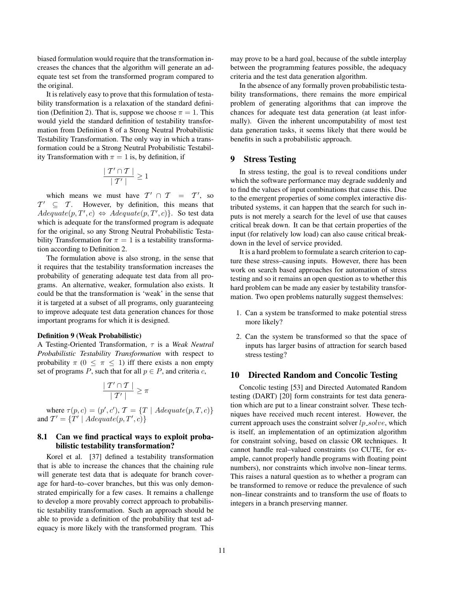biased formulation would require that the transformation increases the chances that the algorithm will generate an adequate test set from the transformed program compared to the original.

It is relatively easy to prove that this formulation of testability transformation is a relaxation of the standard definition (Definition 2). That is, suppose we choose  $\pi = 1$ . This would yield the standard definition of testability transformation from Definition 8 of a Strong Neutral Probabilistic Testability Transformation. The only way in which a transformation could be a Strong Neutral Probabilistic Testability Transformation with  $\pi = 1$  is, by definition, if

$$
\frac{|\mathcal{T}' \cap \mathcal{T}|}{|\mathcal{T}'|} \ge 1
$$

which means we must have  $T' \cap T = T'$ , so  $T' \subseteq T$ . However, by definition, this means that  $Adequate(p, T', c) \Leftrightarrow Adequate(p, T', c)$ . So test data which is adequate for the transformed program is adequate for the original, so any Strong Neutral Probabilistic Testability Transformation for  $\pi = 1$  is a testability transformation according to Definition 2.

The formulation above is also strong, in the sense that it requires that the testability transformation increases the probability of generating adequate test data from all programs. An alternative, weaker, formulation also exists. It could be that the transformation is 'weak' in the sense that it is targeted at a subset of all programs, only guaranteeing to improve adequate test data generation chances for those important programs for which it is designed.

### Definition 9 (Weak Probabilistic)

A Testing-Oriented Transformation, τ is a *Weak Neutral Probabilistic Testability Transformation* with respect to probability  $\pi$  (0  $\leq \pi \leq 1$ ) iff there exists a non empty set of programs P, such that for all  $p \in P$ , and criteria c,

$$
\frac{|\mathcal{T}' \cap \mathcal{T}|}{|\mathcal{T}'|} \geq \pi
$$

where  $\tau(p, c) = (p', c'), T = \{T \mid \text{Adequate}(p, T, c)\}$ and  $T' = \{T' \mid Adequate(p, T', c)\}$ 

# 8.1 Can we find practical ways to exploit probabilistic testability transformation?

Korel et al. [37] defined a testability transformation that is able to increase the chances that the chaining rule will generate test data that is adequate for branch coverage for hard–to–cover branches, but this was only demonstrated empirically for a few cases. It remains a challenge to develop a more provably correct approach to probabilistic testability transformation. Such an approach should be able to provide a definition of the probability that test adequacy is more likely with the transformed program. This

may prove to be a hard goal, because of the subtle interplay between the programming features possible, the adequacy criteria and the test data generation algorithm.

In the absence of any formally proven probabilistic testability transformations, there remains the more empirical problem of generating algorithms that can improve the chances for adequate test data generation (at least informally). Given the inherent uncomputability of most test data generation tasks, it seems likely that there would be benefits in such a probabilistic approach.

### 9 Stress Testing

In stress testing, the goal is to reveal conditions under which the software performance may degrade suddenly and to find the values of input combinations that cause this. Due to the emergent properties of some complex interactive distributed systems, it can happen that the search for such inputs is not merely a search for the level of use that causes critical break down. It can be that certain properties of the input (for relatively low load) can also cause critical breakdown in the level of service provided.

It is a hard problem to formulate a search criterion to capture these stress–causing inputs. However, there has been work on search based approaches for automation of stress testing and so it remains an open question as to whether this hard problem can be made any easier by testability transformation. Two open problems naturally suggest themselves:

- 1. Can a system be transformed to make potential stress more likely?
- 2. Can the system be transformed so that the space of inputs has larger basins of attraction for search based stress testing?

# 10 Directed Random and Concolic Testing

Concolic testing [53] and Directed Automated Random testing (DART) [20] form constraints for test data generation which are put to a linear constraint solver. These techniques have received much recent interest. However, the current approach uses the constraint solver  $lp\_solve$ , which is itself, an implementation of an optimization algorithm for constraint solving, based on classic OR techniques. It cannot handle real–valued constraints (so CUTE, for example, cannot properly handle programs with floating point numbers), nor constraints which involve non–linear terms. This raises a natural question as to whether a program can be transformed to remove or reduce the prevalence of such non–linear constraints and to transform the use of floats to integers in a branch preserving manner.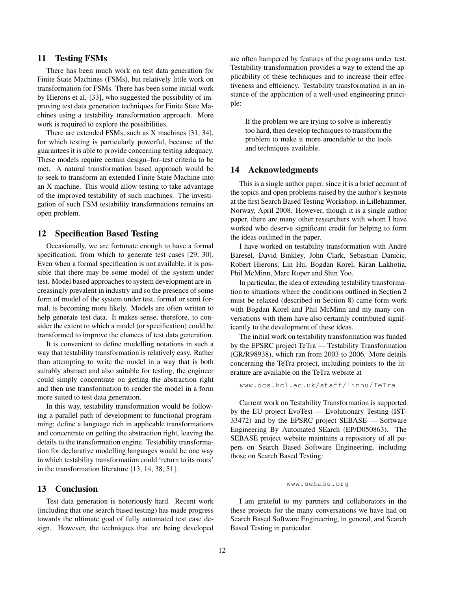# 11 Testing FSMs

There has been much work on test data generation for Finite State Machines (FSMs), but relatively little work on transformation for FSMs. There has been some initial work by Hierons et al. [33], who suggested the possibility of improving test data generation techniques for Finite State Machines using a testability transformation approach. More work is required to explore the possibilities.

There are extended FSMs, such as X machines [31, 34], for which testing is particularly powerful, because of the guarantees it is able to provide concerning testing adequacy. These models require certain design–for–test criteria to be met. A natural transformation based approach would be to seek to transform an extended Finite State Machine into an X machine. This would allow testing to take advantage of the improved testability of such machines. The investigation of such FSM testability transformations remains an open problem.

# 12 Specification Based Testing

Occasionally, we are fortunate enough to have a formal specification, from which to generate test cases [29, 30]. Even when a formal specification is not available, it is possible that there may be some model of the system under test. Model based approaches to system development are increasingly prevalent in industry and so the presence of some form of model of the system under test, formal or semi formal, is becoming more likely. Models are often written to help generate test data. It makes sense, therefore, to consider the extent to which a model (or specification) could be transformed to improve the chances of test data generation.

It is convenient to define modelling notations in such a way that testability transformation is relatively easy. Rather than attempting to write the model in a way that is both suitably abstract and also suitable for testing, the engineer could simply concentrate on getting the abstraction right and then use transformation to render the model in a form more suited to test data generation.

In this way, testability transformation would be following a parallel path of development to functional programming; define a language rich in applicable transformations and concentrate on getting the abstraction right, leaving the details to the transformation engine. Testability transformation for declarative modelling languages would be one way in which testability transformation could 'return to its roots' in the transformation literature [13, 14, 38, 51].

# 13 Conclusion

Test data generation is notoriously hard. Recent work (including that one search based testing) has made progress towards the ultimate goal of fully automated test case design. However, the techniques that are being developed are often hampered by features of the programs under test. Testability transformation provides a way to extend the applicability of these techniques and to increase their effectiveness and efficiency. Testability transformation is an instance of the application of a well-used engineering principle:

If the problem we are trying to solve is inherently too hard, then develop techniques to transform the problem to make it more amendable to the tools and techniques available.

# 14 Acknowledgments

This is a single author paper, since it is a brief account of the topics and open problems raised by the author's keynote at the first Search Based Testing Workshop, in Lillehammer, Norway, April 2008. However, though it is a single author paper, there are many other researchers with whom I have worked who deserve significant credit for helping to form the ideas outlined in the paper.

I have worked on testability transformation with André Baresel, David Binkley, John Clark, Sebastian Danicic, Robert Hierons, Lin Hu, Bogdan Korel, Kiran Lakhotia, Phil McMinn, Marc Roper and Shin Yoo.

In particular, the idea of extending testability transformation to situations where the conditions outlined in Section 2 must be relaxed (described in Section 8) came form work with Bogdan Korel and Phil McMinn and my many conversations with them have also certainly contributed significantly to the development of these ideas.

The initial work on testability transformation was funded by the EPSRC project TeTra — Testability Transformation (GR/R98938), which ran from 2003 to 2006. More details concerning the TeTra project, including pointers to the literature are available on the TeTra website at

www.dcs.kcl.ac.uk/staff/linhu/TeTra

Current work on Testability Transformation is supported by the EU project EvoTest — Evolutionary Testing (IST-33472) and by the EPSRC project SEBASE — Software Engineering By Automated SEarch (EP/D050863). The SEBASE project website maintains a repository of all papers on Search Based Software Engineering, including those on Search Based Testing:

#### www.sebase.org

I am grateful to my partners and collaborators in the these projects for the many conversations we have had on Search Based Software Engineering, in general, and Search Based Testing in particular.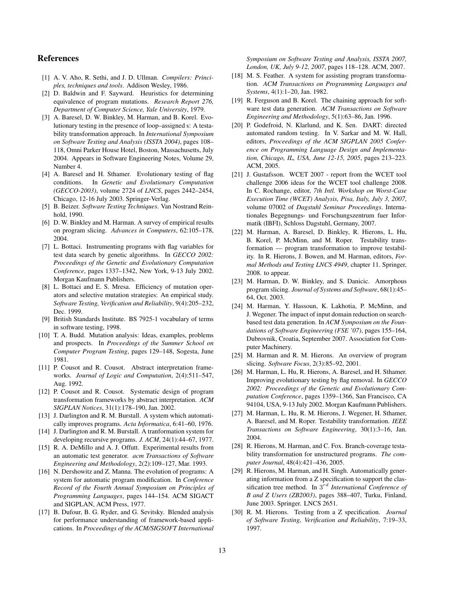# References

- [1] A. V. Aho, R. Sethi, and J. D. Ullman. *Compilers: Principles, techniques and tools*. Addison Wesley, 1986.
- [2] D. Baldwin and F. Sayward. Heuristics for determining equivalence of program mutations. *Research Report 276, Department of Computer Science, Yale University*, 1979.
- [3] A. Baresel, D. W. Binkley, M. Harman, and B. Korel. Evolutionary testing in the presence of loop–assigned s: A testability transformation approach. In *International Symposium on Software Testing and Analysis (ISSTA 2004)*, pages 108– 118, Omni Parker House Hotel, Boston, Massachusetts, July 2004. Appears in Software Engineering Notes, Volume 29, Number 4.
- [4] A. Baresel and H. Sthamer. Evolutionary testing of flag conditions. In *Genetic and Evolutionary Computation (GECCO-2003)*, volume 2724 of *LNCS*, pages 2442–2454, Chicago, 12-16 July 2003. Springer-Verlag.
- [5] B. Beizer. *Software Testing Techniques*. Van Nostrand Reinhold, 1990.
- [6] D. W. Binkley and M. Harman. A survey of empirical results on program slicing. *Advances in Computers*, 62:105–178, 2004.
- [7] L. Bottaci. Instrumenting programs with flag variables for test data search by genetic algorithms. In *GECCO 2002: Proceedings of the Genetic and Evolutionary Computation Conference*, pages 1337–1342, New York, 9-13 July 2002. Morgan Kaufmann Publishers.
- [8] L. Bottaci and E. S. Mresa. Efficiency of mutation operators and selective mutation strategies: An empirical study. *Software Testing, Verification and Reliability*, 9(4):205–232, Dec. 1999.
- [9] British Standards Institute. BS 7925-1 vocabulary of terms in software testing, 1998.
- [10] T. A. Budd. Mutation analysis: Ideas, examples, problems and prospects. In *Proceedings of the Summer School on Computer Program Testing*, pages 129–148, Sogesta, June 1981.
- [11] P. Cousot and R. Cousot. Abstract interpretation frameworks. *Journal of Logic and Computation*, 2(4):511–547, Aug. 1992.
- [12] P. Cousot and R. Cousot. Systematic design of program transformation frameworks by abstract interpretation. *ACM SIGPLAN Notices*, 31(1):178–190, Jan. 2002.
- [13] J. Darlington and R. M. Burstall. A system which automatically improves programs. *Acta Informatica*, 6:41–60, 1976.
- [14] J. Darlington and R. M. Burstall. A tranformation system for developing recursive programs. *J. ACM*, 24(1):44–67, 1977.
- [15] R. A. DeMillo and A. J. Offutt. Experimental results from an automatic test generator. *acm Transactions of Software Engineering and Methodology*, 2(2):109–127, Mar. 1993.
- [16] N. Dershowitz and Z. Manna. The evolution of programs: A system for automatic program modification. In *Conference Record of the Fourth Annual Symposium on Principles of Programming Languages*, pages 144–154. ACM SIGACT and SIGPLAN, ACM Press, 1977.
- [17] B. Dufour, B. G. Ryder, and G. Sevitsky. Blended analysis for performance understanding of framework-based applications. In *Proceedings of the ACM/SIGSOFT International*

*Symposium on Software Testing and Analysis, ISSTA 2007, London, UK, July 9-12, 2007*, pages 118–128. ACM, 2007.

- [18] M. S. Feather. A system for assisting program transformation. *ACM Transactions on Programming Languages and Systems*, 4(1):1–20, Jan. 1982.
- [19] R. Ferguson and B. Korel. The chaining approach for software test data generation. *ACM Transactions on Software Engineering and Methodology*, 5(1):63–86, Jan. 1996.
- [20] P. Godefroid, N. Klarlund, and K. Sen. DART: directed automated random testing. In V. Sarkar and M. W. Hall, editors, *Proceedings of the ACM SIGPLAN 2005 Conference on Programming Language Design and Implementation, Chicago, IL, USA, June 12-15, 2005*, pages 213–223. ACM, 2005.
- [21] J. Gustafsson. WCET 2007 report from the WCET tool challenge 2006 ideas for the WCET tool challenge 2008. In C. Rochange, editor, *7th Intl. Workshop on Worst-Case Execution Time (WCET) Analysis, Pisa, Italy, July 3, 2007*, volume 07002 of *Dagstuhl Seminar Proceedings*. Internationales Begegnungs- und Forschungszentrum fuer Informatik (IBFI), Schloss Dagstuhl, Germany, 2007.
- [22] M. Harman, A. Baresel, D. Binkley, R. Hierons, L. Hu, B. Korel, P. McMinn, and M. Roper. Testability transformation — program transformation to improve testability. In R. Hierons, J. Bowen, and M. Harman, editors, *Formal Methods and Testing LNCS 4949*, chapter 11. Springer, 2008. to appear.
- [23] M. Harman, D. W. Binkley, and S. Danicic. Amorphous program slicing. *Journal of Systems and Software*, 68(1):45– 64, Oct. 2003.
- [24] M. Harman, Y. Hassoun, K. Lakhotia, P. McMinn, and J. Wegener. The impact of input domain reduction on searchbased test data generation. In *ACM Symposium on the Foundations of Software Engineering (FSE '07)*, pages 155–164, Dubrovnik, Croatia, September 2007. Association for Computer Machinery.
- [25] M. Harman and R. M. Hierons. An overview of program slicing. *Software Focus*, 2(3):85–92, 2001.
- [26] M. Harman, L. Hu, R. Hierons, A. Baresel, and H. Sthamer. Improving evolutionary testing by flag removal. In *GECCO 2002: Proceedings of the Genetic and Evolutionary Computation Conference*, pages 1359–1366, San Francisco, CA 94104, USA, 9-13 July 2002. Morgan Kaufmann Publishers.
- [27] M. Harman, L. Hu, R. M. Hierons, J. Wegener, H. Sthamer, A. Baresel, and M. Roper. Testability transformation. *IEEE Transactions on Software Engineering*, 30(1):3–16, Jan. 2004.
- [28] R. Hierons, M. Harman, and C. Fox. Branch-coverage testability transformation for unstructured programs. *The computer Journal*, 48(4):421–436, 2005.
- [29] R. Hierons, M. Harman, and H. Singh. Automatically generating information from a Z specification to support the classification tree method. In 3<sup>rd</sup> *International Conference of B and Z Users (ZB2003)*, pages 388–407, Turku, Finland, June 2003. Springer. LNCS 2651.
- [30] R. M. Hierons. Testing from a Z specification. *Journal of Software Testing, Verification and Reliability*, 7:19–33, 1997.